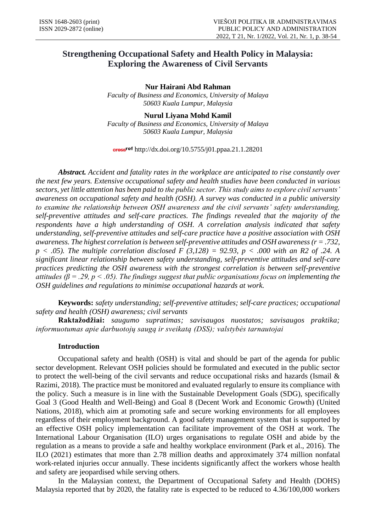## **Strengthening Occupational Safety and Health Policy in Malaysia: Exploring the Awareness of Civil Servants**

**Nur Hairani Abd Rahman**

*Faculty of Business and Economics, University of Malaya 50603 Kuala Lumpur, Malaysia*

# **Nurul Liyana Mohd Kamil**

*Faculty of Business and Economics, University of Malaya 50603 Kuala Lumpur, Malaysia*

http://dx.doi.org/10.5755/j01.ppaa.21.1.28201

*Abstract. Accident and fatality rates in the workplace are anticipated to rise constantly over the next few years. Extensive occupational safety and health studies have been conducted in various sectors, yet little attention has been paid to the public sector. This study aims to explore civil servants' awareness on occupational safety and health (OSH). A survey was conducted in a public university to examine the relationship between OSH awareness and the civil servants' safety understanding, self-preventive attitudes and self-care practices. The findings revealed that the majority of the respondents have a high understanding of OSH. A correlation analysis indicated that safety understanding, self-preventive attitudes and self-care practice have a positive association with OSH awareness. The highest correlation is between self-preventive attitudes and OSH awareness (r = .732, p < .05). The multiple correlation disclosed F (3,128) = 92.93, p < .000 with an R2 of .24. A significant linear relationship between safety understanding, self-preventive attitudes and self-care practices predicting the OSH awareness with the strongest correlation is between self-preventive attitudes (β = .29, p < .05). The findings suggest that public organisations focus on implementing the OSH guidelines and regulations to minimise occupational hazards at work.*

**Keywords:** *safety understanding; self-preventive attitudes; self-care practices; occupational safety and health (OSH) awareness; civil servants*

**Raktažodžiai:** *saugumo supratimas; savisaugos nuostatos; savisaugos praktika; informuotumas apie darbuotojų saugą ir sveikatą (DSS); valstybės tarnautojai*

## **Introduction**

Occupational safety and health (OSH) is vital and should be part of the agenda for public sector development. Relevant OSH policies should be formulated and executed in the public sector to protect the well-being of the civil servants and reduce occupational risks and hazards (Ismail & Razimi, 2018). The practice must be monitored and evaluated regularly to ensure its compliance with the policy. Such a measure is in line with the Sustainable Development Goals (SDG), specifically Goal 3 (Good Health and Well-Being) and Goal 8 (Decent Work and Economic Growth) (United Nations, 2018), which aim at promoting safe and secure working environments for all employees regardless of their employment background. A good safety management system that is supported by an effective OSH policy implementation can facilitate improvement of the OSH at work. The International Labour Organisation (ILO) urges organisations to regulate OSH and abide by the regulation as a means to provide a safe and healthy workplace environment (Park et al., 2016). The ILO (2021) estimates that more than 2.78 million deaths and approximately 374 million nonfatal work-related injuries occur annually. These incidents significantly affect the workers whose health and safety are jeopardised while serving others.

In the Malaysian context, the Department of Occupational Safety and Health (DOHS) Malaysia reported that by 2020, the fatality rate is expected to be reduced to 4.36/100,000 workers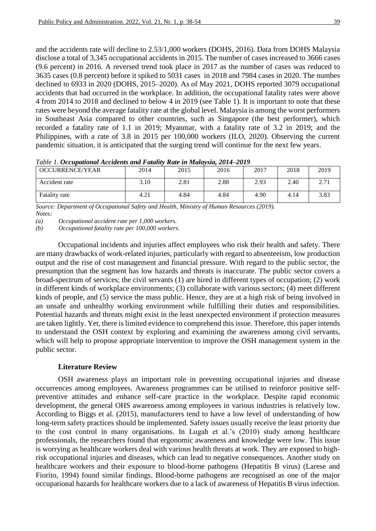and the accidents rate will decline to 2.53/1,000 workers (DOHS, 2016). Data from DOHS Malaysia disclose a total of 3,345 occupational accidents in 2015. The number of cases increased to 3666 cases (9.6 percent) in 2016. A reversed trend took place in 2017 as the number of cases was reduced to 3635 cases (0.8 percent) before it spiked to 5031 cases in 2018 and 7984 cases in 2020. The numbes declined to 6933 in 2020 (DOHS, 2015–2020). As of May 2021, DOHS reported 3079 occupational accidents that had occurred in the workplace. In addition, the occupational fatality rates were above 4 from 2014 to 2018 and declined to below 4 in 2019 (see Table 1). It is important to note that these rates were beyond the average fatality rate at the global level. Malaysia is among the worst performers in Southeast Asia compared to other countries, such as Singapore (the best performer), which recorded a fatality rate of 1.1 in 2019; Myanmar, with a fatality rate of 3.2 in 2019; and the Philippines, with a rate of 3.8 in 2015 per 100,000 workers (ILO, 2020). Observing the current pandemic situation, it is anticipated that the surging trend will continue for the next few years.

| <b>OCCURRENCE/YEAR</b> | 2014 | 2015 | 2016 | 2017 | 2018 | 2019                        |
|------------------------|------|------|------|------|------|-----------------------------|
| Accident rate          | 3.10 | 2.81 | 2.88 | 2.93 | 2.40 | 271<br>$\sim$ $\sim$ $\sim$ |
| Fatality rate          | 4.21 | 4.84 | 4.84 | 4.90 | 4.14 | 3.83                        |

*Table 1. Occupational Accidents and Fatality Rate in Malaysia, 2014–2019*

*Source: Department of Occupational Safety and Health, Ministry of Human Resources (2019). Notes:* 

*(a) Occupational accident rate per 1,000 workers.*

*(b) Occupational fatality rate per 100,000 workers.*

Occupational incidents and injuries affect employees who risk their health and safety. There are many drawbacks of work-related injuries, particularly with regard to absenteeism, low production output and the rise of cost management and financial pressure. With regard to the public sector, the presumption that the segment has low hazards and threats is inaccurate. The public sector covers a broad-spectrum of services; the civil servants (1) are hired in different types of occupation; (2) work in different kinds of workplace environments; (3) collaborate with various sectors; (4) meet different kinds of people, and (5) service the mass public. Hence, they are at a high risk of being involved in an unsafe and unhealthy working environment while fulfilling their duties and responsibilities. Potential hazards and threats might exist in the least unexpected environment if protection measures are taken lightly. Yet, there is limited evidence to comprehend this issue. Therefore, this paper intends to understand the OSH context by exploring and examining the awareness among civil servants, which will help to propose appropriate intervention to improve the OSH management system in the public sector.

#### **Literature Review**

OSH awareness plays an important role in preventing occupational injuries and disease occurrences among employees. Awareness programmes can be utilised to reinforce positive selfpreventive attitudes and enhance self-care practice in the workplace. Despite rapid economic development, the general OHS awareness among employees in various industries is relatively low. According to Biggs et al. (2015), manufacturers tend to have a low level of understanding of how long-term safety practices should be implemented. Safety issues usually receive the least priority due to the cost control in many organisations. In Lugah et al.'s (2010) study among healthcare professionals, the researchers found that ergonomic awareness and knowledge were low. This issue is worrying as healthcare workers deal with various health threats at work. They are exposed to highrisk occupational injuries and diseases, which can lead to negative consequences. Another study on healthcare workers and their exposure to blood-borne pathogens (Hepatitis B virus) (Larese and Fiorito, 1994) found similar findings. Blood-borne pathogens are recognised as one of the major occupational hazards for healthcare workers due to a lack of awareness of Hepatitis B virus infection.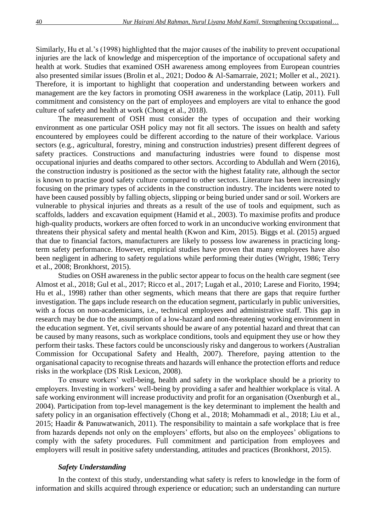Similarly, Hu et al.'s (1998) highlighted that the major causes of the inability to prevent occupational injuries are the lack of knowledge and misperception of the importance of occupational safety and health at work. Studies that examined OSH awareness among employees from European countries also presented similar issues (Brolin et al., 2021; Dodoo & Al-Samarraie, 2021; Moller et al., 2021). Therefore, it is important to highlight that cooperation and understanding between workers and management are the key factors in promoting OSH awareness in the workplace (Latip, 2011). Full commitment and consistency on the part of employees and employers are vital to enhance the good culture of safety and health at work (Chong et al., 2018).

The measurement of OSH must consider the types of occupation and their working environment as one particular OSH policy may not fit all sectors. The issues on health and safety encountered by employees could be different according to the nature of their workplace. Various sectors (e.g., agricultural, forestry, mining and construction industries) present different degrees of safety practices. Constructions and manufacturing industries were found to dispense most occupational injuries and deaths compared to other sectors. According to Abdullah and Wern (2016), the construction industry is positioned as the sector with the highest fatality rate, although the sector is known to practise good safety culture compared to other sectors. Literature has been increasingly focusing on the primary types of accidents in the construction industry. The incidents were noted to have been caused possibly by falling objects, slipping or being buried under sand or soil. Workers are vulnerable to physical injuries and threats as a result of the use of tools and equipment, such as scaffolds, ladders and excavation equipment (Hamid et al., 2003). To maximise profits and produce high-quality products, workers are often forced to work in an unconducive working environment that threatens their physical safety and mental health (Kwon and Kim, 2015). Biggs et al. (2015) argued that due to financial factors, manufacturers are likely to possess low awareness in practicing longterm safety performance. However, empirical studies have proven that many employees have also been negligent in adhering to safety regulations while performing their duties (Wright, 1986; Terry et al., 2008; Bronkhorst, 2015).

Studies on OSH awareness in the public sector appear to focus on the health care segment (see Almost et al., 2018; Gul et al., 2017; Ricco et al., 2017; Lugah et al., 2010; Larese and Fiorito, 1994; Hu et al., 1998) rather than other segments, which means that there are gaps that require further investigation. The gaps include research on the education segment, particularly in public universities, with a focus on non-academicians, i.e., technical employees and administrative staff. This gap in research may be due to the assumption of a low-hazard and non-threatening working environment in the education segment. Yet, civil servants should be aware of any potential hazard and threat that can be caused by many reasons, such as workplace conditions, tools and equipment they use or how they perform their tasks. These factors could be unconsciously risky and dangerous to workers (Australian Commission for Occupational Safety and Health, 2007). Therefore, paying attention to the organisational capacity to recognise threats and hazards will enhance the protection efforts and reduce risks in the workplace (DS Risk Lexicon, 2008).

To ensure workers' well-being, health and safety in the workplace should be a priority to employers. Investing in workers' well-being by providing a safer and healthier workplace is vital. A safe working environment will increase productivity and profit for an organisation (Oxenburgh et al., 2004). Participation from top-level management is the key determinant to implement the health and safety policy in an organisation effectively (Chong et al., 2018; Mohammadi et al., 2018; Liu et al., 2015; Haadir & Panuwatwanich, 2011). The responsibility to maintain a safe workplace that is free from hazards depends not only on the employers' efforts, but also on the employees' obligations to comply with the safety procedures. Full commitment and participation from employees and employers will result in positive safety understanding, attitudes and practices (Bronkhorst, 2015).

#### *Safety Understanding*

In the context of this study, understanding what safety is refers to knowledge in the form of information and skills acquired through experience or education; such an understanding can nurture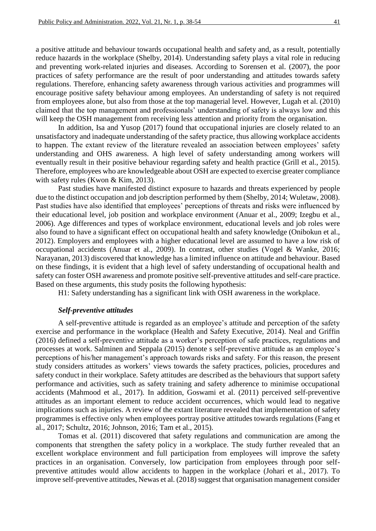a positive attitude and behaviour towards occupational health and safety and, as a result, potentially reduce hazards in the workplace (Shelby, 2014). Understanding safety plays a vital role in reducing and preventing work-related injuries and diseases. According to Sorensen et al. (2007), the poor practices of safety performance are the result of poor understanding and attitudes towards safety regulations. Therefore, enhancing safety awareness through various activities and programmes will encourage positive safety behaviour among employees. An understanding of safety is not required from employees alone, but also from those at the top managerial level. However, Lugah et al. (2010) claimed that the top management and professionals' understanding of safety is always low and this will keep the OSH management from receiving less attention and priority from the organisation.

In addition, Isa and Yusop (2017) found that occupational injuries are closely related to an unsatisfactory and inadequate understanding of the safety practice, thus allowing workplace accidents to happen. The extant review of the literature revealed an association between employees' safety understanding and OHS awareness. A high level of safety understanding among workers will eventually result in their positive behaviour regarding safety and health practice (Grill et al., 2015). Therefore, employees who are knowledgeable about OSH are expected to exercise greater compliance with safety rules (Kwon & Kim, 2013).

Past studies have manifested distinct exposure to hazards and threats experienced by people due to the distinct occupation and job description performed by them (Shelby, 2014; Wuletaw, 2008). Past studies have also identified that employees' perceptions of threats and risks were influenced by their educational level, job position and workplace environment (Anuar et al., 2009; Izegbu et al., 2006). Age differences and types of workplace environment, educational levels and job roles were also found to have a significant effect on occupational health and safety knowledge (Onibokun et al., 2012). Employers and employees with a higher educational level are assumed to have a low risk of occupational accidents (Anuar et al., 2009). In contrast, other studies (Vogel & Wanke, 2016; Narayanan, 2013) discovered that knowledge has a limited influence on attitude and behaviour. Based on these findings, it is evident that a high level of safety understanding of occupational health and safety can foster OSH awareness and promote positive self-preventive attitudes and self-care practice. Based on these arguments, this study posits the following hypothesis:

H1: Safety understanding has a significant link with OSH awareness in the workplace.

## *Self-preventive attitudes*

A self-preventive attitude is regarded as an employee's attitude and perception of the safety exercise and performance in the workplace (Health and Safety Executive, 2014). Neal and Griffin (2016) defined a self-preventive attitude as a worker's perception of safe practices, regulations and processes at work. Salminen and Seppala (2015) denote s self-preventive attitude as an employee's perceptions of his/her management's approach towards risks and safety. For this reason, the present study considers attitudes as workers' views towards the safety practices, policies, procedures and safety conduct in their workplace. Safety attitudes are described as the behaviours that support safety performance and activities, such as safety training and safety adherence to minimise occupational accidents (Mahmood et al., 2017). In addition, Goswami et al. (2011) perceived self-preventive attitudes as an important element to reduce accident occurrences, which would lead to negative implications such as injuries. A review of the extant literature revealed that implementation of safety programmes is effective only when employees portray positive attitudes towards regulations (Fang et al., 2017; Schultz, 2016; Johnson, 2016; Tam et al., 2015).

Tomas et al. (2011) discovered that safety regulations and communication are among the components that strengthen the safety policy in a workplace. The study further revealed that an excellent workplace environment and full participation from employees will improve the safety practices in an organisation. Conversely, low participation from employees through poor selfpreventive attitudes would allow accidents to happen in the workplace (Johari et al., 2017). To improve self-preventive attitudes, Newas et al. (2018) suggest that organisation management consider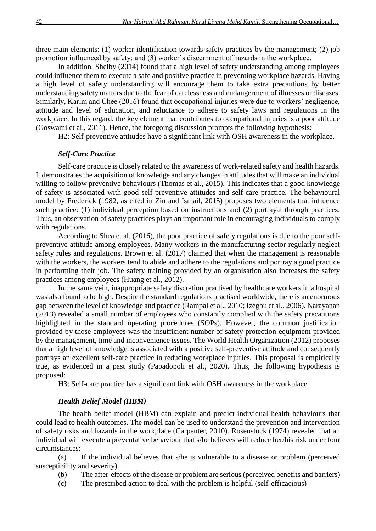three main elements: (1) worker identification towards safety practices by the management; (2) job promotion influenced by safety; and (3) worker's discernment of hazards in the workplace.

In addition, Shelby (2014) found that a high level of safety understanding among employees could influence them to execute a safe and positive practice in preventing workplace hazards. Having a high level of safety understanding will encourage them to take extra precautions by better understanding safety matters due to the fear of carelessness and endangerment of illnesses or diseases. Similarly, Karim and Chee (2016) found that occupational injuries were due to workers' negligence, attitude and level of education, and reluctance to adhere to safety laws and regulations in the workplace. In this regard, the key element that contributes to occupational injuries is a poor attitude (Goswami et al., 2011). Hence, the foregoing discussion prompts the following hypothesis:

H2: Self-preventive attitudes have a significant link with OSH awareness in the workplace.

## *Self-Care Practice*

Self-care practice is closely related to the awareness of work-related safety and health hazards. It demonstrates the acquisition of knowledge and any changes in attitudes that will make an individual willing to follow preventive behaviours (Thomas et al., 2015). This indicates that a good knowledge of safety is associated with good self-preventive attitudes and self-care practice. The behavioural model by Frederick (1982, as cited in Zin and Ismail, 2015) proposes two elements that influence such practice: (1) individual perception based on instructions and (2) portrayal through practices. Thus, an observation of safety practices plays an important role in encouraging individuals to comply with regulations.

According to Shea et al. (2016), the poor practice of safety regulations is due to the poor selfpreventive attitude among employees. Many workers in the manufacturing sector regularly neglect safety rules and regulations. Brown et al. (2017) claimed that when the management is reasonable with the workers, the workers tend to abide and adhere to the regulations and portray a good practice in performing their job. The safety training provided by an organisation also increases the safety practices among employees (Huang et al., 2012).

In the same vein, inappropriate safety discretion practised by healthcare workers in a hospital was also found to be high. Despite the standard regulations practised worldwide, there is an enormous gap between the level of knowledge and practice (Rampal et al., 2010; Izegbu et al., 2006). Narayanan (2013) revealed a small number of employees who constantly complied with the safety precautions highlighted in the standard operating procedures (SOPs). However, the common justification provided by those employees was the insufficient number of safety protection equipment provided by the management, time and inconvenience issues. The World Health Organization (2012) proposes that a high level of knowledge is associated with a positive self-preventive attitude and consequently portrays an excellent self-care practice in reducing workplace injuries. This proposal is empirically true, as evidenced in a past study (Papadopoli et al., 2020). Thus, the following hypothesis is proposed:

H3: Self-care practice has a significant link with OSH awareness in the workplace.

## *Health Belief Model (HBM)*

The health belief model (HBM) can explain and predict individual health behaviours that could lead to health outcomes. The model can be used to understand the prevention and intervention of safety risks and hazards in the workplace (Carpenter, 2010). Rosenstock (1974) revealed that an individual will execute a preventative behaviour that s/he believes will reduce her/his risk under four circumstances:

(a) If the individual believes that s/he is vulnerable to a disease or problem (perceived susceptibility and severity)

- (b) The after-effects of the disease or problem are serious (perceived benefits and barriers)
- (c) The prescribed action to deal with the problem is helpful (self-efficacious)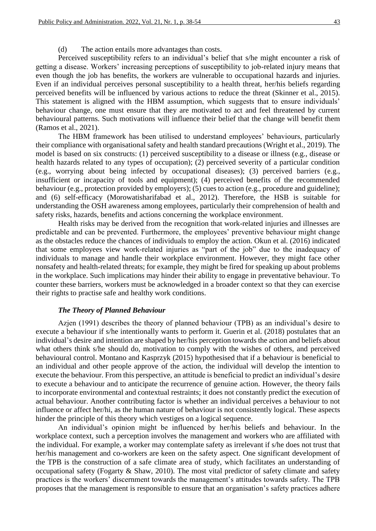## (d) The action entails more advantages than costs.

Perceived susceptibility refers to an individual's belief that s/he might encounter a risk of getting a disease. Workers' increasing perceptions of susceptibility to job-related injury means that even though the job has benefits, the workers are vulnerable to occupational hazards and injuries. Even if an individual perceives personal susceptibility to a health threat, her/his beliefs regarding perceived benefits will be influenced by various actions to reduce the threat (Skinner et al., 2015). This statement is aligned with the HBM assumption, which suggests that to ensure individuals' behaviour change, one must ensure that they are motivated to act and feel threatened by current behavioural patterns. Such motivations will influence their belief that the change will benefit them (Ramos et al., 2021).

The HBM framework has been utilised to understand employees' behaviours, particularly their compliance with organisational safety and health standard precautions (Wright et al., 2019). The model is based on six constructs: (1) perceived susceptibility to a disease or illness (e.g., disease or health hazards related to any types of occupation); (2) perceived severity of a particular condition (e.g., worrying about being infected by occupational diseases); (3) perceived barriers (e.g., insufficient or incapacity of tools and equipment); (4) perceived benefits of the recommended behaviour (e.g., protection provided by employers); (5) cues to action (e.g., procedure and guideline); and (6) self-efficacy (Morowatisharifabad et al., 2012). Therefore, the HSB is suitable for understanding the OSH awareness among employees, particularly their comprehension of health and safety risks, hazards, benefits and actions concerning the workplace environment.

Health risks may be derived from the recognition that work-related injuries and illnesses are predictable and can be prevented. Furthermore, the employees' preventive behaviour might change as the obstacles reduce the chances of individuals to employ the action. Okun et al. (2016) indicated that some employees view work-related injuries as "part of the job" due to the inadequacy of individuals to manage and handle their workplace environment. However, they might face other nonsafety and health-related threats; for example, they might be fired for speaking up about problems in the workplace. Such implications may hinder their ability to engage in preventative behaviour. To counter these barriers, workers must be acknowledged in a broader context so that they can exercise their rights to practise safe and healthy work conditions.

## *The Theory of Planned Behaviour*

Azjen (1991) describes the theory of planned behaviour (TPB) as an individual's desire to execute a behaviour if s/he intentionally wants to perform it. Guerin et al. (2018) postulates that an individual's desire and intention are shaped by her/his perception towards the action and beliefs about what others think s/he should do, motivation to comply with the wishes of others, and perceived behavioural control. Montano and Kasprzyk (2015) hypothesised that if a behaviour is beneficial to an individual and other people approve of the action, the individual will develop the intention to execute the behaviour. From this perspective, an attitude is beneficial to predict an individual's desire to execute a behaviour and to anticipate the recurrence of genuine action. However, the theory fails to incorporate environmental and contextual restraints; it does not constantly predict the execution of actual behaviour. Another contributing factor is whether an individual perceives a behaviour to not influence or affect her/hi, as the human nature of behaviour is not consistently logical. These aspects hinder the principle of this theory which vestiges on a logical sequence.

An individual's opinion might be influenced by her/his beliefs and behaviour. In the workplace context, such a perception involves the management and workers who are affiliated with the individual. For example, a worker may contemplate safety as irrelevant if s/he does not trust that her/his management and co-workers are keen on the safety aspect. One significant development of the TPB is the construction of a safe climate area of study, which facilitates an understanding of occupational safety (Fogarty & Shaw, 2010). The most vital predictor of safety climate and safety practices is the workers' discernment towards the management's attitudes towards safety. The TPB proposes that the management is responsible to ensure that an organisation's safety practices adhere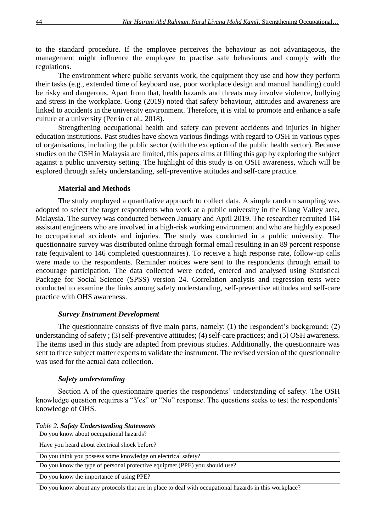to the standard procedure. If the employee perceives the behaviour as not advantageous, the management might influence the employee to practise safe behaviours and comply with the regulations.

The environment where public servants work, the equipment they use and how they perform their tasks (e.g., extended time of keyboard use, poor workplace design and manual handling) could be risky and dangerous. Apart from that, health hazards and threats may involve violence, bullying and stress in the workplace. Gong (2019) noted that safety behaviour, attitudes and awareness are linked to accidents in the university environment. Therefore, it is vital to promote and enhance a safe culture at a university (Perrin et al., 2018).

Strengthening occupational health and safety can prevent accidents and injuries in higher education institutions. Past studies have shown various findings with regard to OSH in various types of organisations, including the public sector (with the exception of the public health sector). Because studies on the OSH in Malaysia are limited, this papers aims at filling this gap by exploring the subject against a public university setting. The highlight of this study is on OSH awareness, which will be explored through safety understanding, self-preventive attitudes and self-care practice.

### **Material and Methods**

The study employed a quantitative approach to collect data. A simple random sampling was adopted to select the target respondents who work at a public university in the Klang Valley area, Malaysia. The survey was conducted between January and April 2019. The researcher recruited 164 assistant engineers who are involved in a high-risk working environment and who are highly exposed to occupational accidents and injuries. The study was conducted in a public university. The questionnaire survey was distributed online through formal email resulting in an 89 percent response rate (equivalent to 146 completed questionnaires). To receive a high response rate, follow-up calls were made to the respondents. Reminder notices were sent to the respondents through email to encourage participation. The data collected were coded, entered and analysed using Statistical Package for Social Science (SPSS) version 24. Correlation analysis and regression tests were conducted to examine the links among safety understanding, self-preventive attitudes and self-care practice with OHS awareness.

#### *Survey Instrument Development*

The questionnaire consists of five main parts, namely: (1) the respondent's background; (2) understanding of safety ; (3) self-preventive attitudes; (4) self-care practices; and (5) OSH awareness. The items used in this study are adapted from previous studies. Additionally, the questionnaire was sent to three subject matter experts to validate the instrument. The revised version of the questionnaire was used for the actual data collection.

## *Safety understanding*

Section A of the questionnaire queries the respondents' understanding of safety. The OSH knowledge question requires a "Yes" or "No" response. The questions seeks to test the respondents' knowledge of OHS.

| Do you know about occupational hazards?                                                                |
|--------------------------------------------------------------------------------------------------------|
| Have you heard about electrical shock before?                                                          |
| Do you think you possess some knowledge on electrical safety?                                          |
| Do you know the type of personal protective equipmet (PPE) you should use?                             |
| Do you know the importance of using PPE?                                                               |
| Do you know about any protocols that are in place to deal with occupational hazards in this workplace? |

*Table 2. Safety Understanding Statements*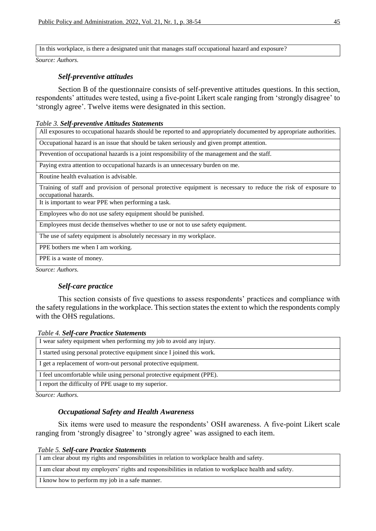In this workplace, is there a designated unit that manages staff occupational hazard and exposure?

*Source: Authors.*

## *Self-preventive attitudes*

Section B of the questionnaire consists of self-preventive attitudes questions. In this section, respondents' attitudes were tested, using a five-point Likert scale ranging from 'strongly disagree' to 'strongly agree'. Twelve items were designated in this section.

#### *Table 3. Self-preventive Attitudes Statements*

All exposures to occupational hazards should be reported to and appropriately documented by appropriate authorities. Occupational hazard is an issue that should be taken seriously and given prompt attention.

Prevention of occupational hazards is a joint responsibility of the management and the staff.

Paying extra attention to occupational hazards is an unnecessary burden on me.

Routine health evaluation is advisable.

Training of staff and provision of personal protective equipment is necessary to reduce the risk of exposure to occupational hazards.

It is important to wear PPE when performing a task.

Employees who do not use safety equipment should be punished.

Employees must decide themselves whether to use or not to use safety equipment.

The use of safety equipment is absolutely necessary in my workplace.

PPE bothers me when I am working.

PPE is a waste of money.

*Source: Authors.*

## *Self-care practice*

This section consists of five questions to assess respondents' practices and compliance with the safety regulations in the workplace. This section states the extent to which the respondents comply with the OHS regulations.

|  |  |  | Table 4. Self-care Practice Statements |
|--|--|--|----------------------------------------|
|--|--|--|----------------------------------------|

| I wear safety equipment when performing my job to avoid any injury.     |  |  |
|-------------------------------------------------------------------------|--|--|
| I started using personal protective equipment since I joined this work. |  |  |
| I get a replacement of worn-out personal protective equipment.          |  |  |
| I feel uncomfortable while using personal protective equipment (PPE).   |  |  |
| I report the difficulty of PPE usage to my superior.                    |  |  |

*Source: Authors.*

## *Occupational Safety and Health Awareness*

Six items were used to measure the respondents' OSH awareness. A five-point Likert scale ranging from 'strongly disagree' to 'strongly agree' was assigned to each item.

#### *Table 5. Self-care Practice Statements*

I am clear about my rights and responsibilities in relation to workplace health and safety.

I am clear about my employers' rights and responsibilities in relation to workplace health and safety.

I know how to perform my job in a safe manner.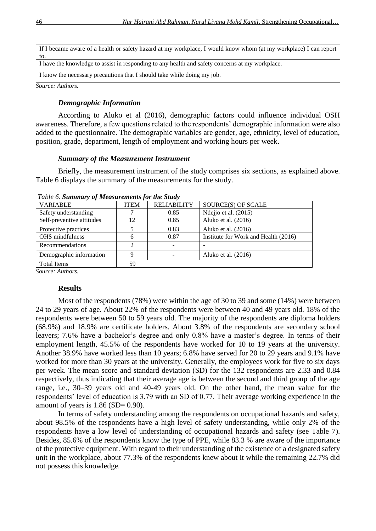| If I became aware of a health or safety hazard at my workplace, I would know whom (at my workplace) I can report |
|------------------------------------------------------------------------------------------------------------------|
| to.                                                                                                              |
| I have the knowledge to assist in responding to any health and safety concerns at my workplace.                  |
| I know the necessary precautions that I should take while doing my job.                                          |

*Source: Authors.*

## *Demographic Information*

According to Aluko et al (2016), demographic factors could influence individual OSH awareness. Therefore, a few questions related to the respondents' demographic information were also added to the questionnaire. The demographic variables are gender, age, ethnicity, level of education, position, grade, department, length of employment and working hours per week.

## *Summary of the Measurement Instrument*

Briefly, the measurement instrument of the study comprises six sections, as explained above. Table 6 displays the summary of the measurements for the study.

| <b>VARIABLE</b>           | <b>ITEM</b>    | <b>RELIABILITY</b> | SOURCE(S) OF SCALE                   |
|---------------------------|----------------|--------------------|--------------------------------------|
| Safety understanding      |                | 0.85               | Ndejjo et al. (2015)                 |
| Self-preventive attitudes | 12             | 0.85               | Aluko et al. (2016)                  |
| Protective practices      |                | 0.83               | Aluko et al. (2016)                  |
| OHS mindfulness           | 6              | 0.87               | Institute for Work and Health (2016) |
| Recommendations           | $\mathfrak{D}$ |                    |                                      |
| Demographic information   | q              |                    | Aluko et al. (2016)                  |
| <b>Total Items</b>        | 59             |                    |                                      |

*Table 6. Summary of Measurements for the Study*

*Source: Authors.*

## **Results**

Most of the respondents (78%) were within the age of 30 to 39 and some (14%) were between 24 to 29 years of age. About 22% of the respondents were between 40 and 49 years old. 18% of the respondents were between 50 to 59 years old. The majority of the respondents are diploma holders (68.9%) and 18.9% are certificate holders. About 3.8% of the respondents are secondary school leavers; 7.6% have a bachelor's degree and only 0.8% have a master's degree. In terms of their employment length, 45.5% of the respondents have worked for 10 to 19 years at the university. Another 38.9% have worked less than 10 years; 6.8% have served for 20 to 29 years and 9.1% have worked for more than 30 years at the university. Generally, the employees work for five to six days per week. The mean score and standard deviation (SD) for the 132 respondents are 2.33 and 0.84 respectively, thus indicating that their average age is between the second and third group of the age range, i.e., 30–39 years old and 40-49 years old. On the other hand, the mean value for the respondents' level of education is 3.79 with an SD of 0.77. Their average working experience in the amount of years is  $1.86$  (SD= 0.90).

In terms of safety understanding among the respondents on occupational hazards and safety, about 98.5% of the respondents have a high level of safety understanding, while only 2% of the respondents have a low level of understanding of occupational hazards and safety (see Table 7). Besides, 85.6% of the respondents know the type of PPE, while 83.3 % are aware of the importance of the protective equipment. With regard to their understanding of the existence of a designated safety unit in the workplace, about 77.3% of the respondents knew about it while the remaining 22.7% did not possess this knowledge.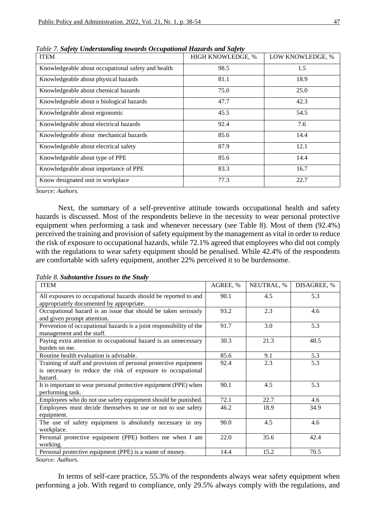| <b>ITEM</b>                                        | HIGH KNOWLEDGE, % | LOW KNOWLEDGE, % |  |
|----------------------------------------------------|-------------------|------------------|--|
| Knowledgeable about occupational safety and health | 98.5              | 1.5              |  |
| Knowledgeable about physical hazards               | 81.1              | 18.9             |  |
| Knowledgeable about chemical hazards               | 75.0              | 25.0             |  |
| Knowledgeable about n biological hazards           | 47.7              | 42.3             |  |
| Knowledgeable about ergonomic                      | 45.5              | 54.5             |  |
| Knowledgeable about electrical hazards             | 92.4              | 7.6              |  |
| Knowledgeable about mechanical hazards             | 85.6              | 14.4             |  |
| Knowledgeable about electrical safety              | 87.9              | 12.1             |  |
| Knowledgeable about type of PPE                    | 85.6              | 14.4             |  |
| Knowledgeable about importance of PPE              | 83.3              | 16.7             |  |
| Know designated unit in workplace                  | 77.3              | 22.7             |  |

*Table 7. Safety Understanding towards Occupational Hazards and Safety*

*Source: Authors.*

Next, the summary of a self-preventive attitude towards occupational health and safety hazards is discussed. Most of the respondents believe in the necessity to wear personal protective equipment when performing a task and whenever necessary (see Table 8). Most of them (92.4%) perceived the training and provision of safety equipment by the management as vital in order to reduce the risk of exposure to occupational hazards, while 72.1% agreed that employees who did not comply with the regulations to wear safety equipment should be penalised. While 42.4% of the respondents are comfortable with safety equipment, another 22% perceived it to be burdensome.

*Table 8. Substantive Issues to the Study*

| <b>ITEM</b>                                                                                                                                | AGREE, % | NEUTRAL, % | DISAGREE, % |
|--------------------------------------------------------------------------------------------------------------------------------------------|----------|------------|-------------|
| All exposures to occupational hazards should be reported to and<br>appropriately documented by appropriate.                                | 90.1     | 4.5        | 5.3         |
| Occupational hazard is an issue that should be taken seriously<br>and given prompt attention.                                              | 93.2     | 2.3        | 4.6         |
| Prevention of occupational hazards is a joint responsibility of the<br>management and the staff.                                           | 91.7     | 3.0        | 5.3         |
| Paying extra attention to occupational hazard is an unnecessary<br>burden on me.                                                           | 30.3     | 21.3       | 48.5        |
| Routine health evaluation is advisable.                                                                                                    | 85.6     | 9.1        | 5.3         |
| Training of staff and provision of personal protective equipment<br>is necessary to reduce the risk of exposure to occupational<br>hazard. | 92.4     | 2.3        | 5.3         |
| It is important to wear personal protective equipment (PPE) when<br>performing task.                                                       | 90.1     | 4.5        | 5.3         |
| Employees who do not use safety equipment should be punished.                                                                              | 72.1     | 22.7       | 4.6         |
| Employees must decide themselves to use or not to use safety<br>equipment.                                                                 | 46.2     | 18.9       | 34.9        |
| The use of safety equipment is absolutely necessary in my<br>workplace.                                                                    | 90.0     | 4.5        | 4.6         |
| Personal protective equipment (PPE) bothers me when I am<br>working.                                                                       | 22.0     | 35.6       | 42.4        |
| Personal protective equipment (PPE) is a waste of money.                                                                                   | 14.4     | 15.2       | 70.5        |

*Source: Authors.*

In terms of self-care practice, 55.3% of the respondents always wear safety equipment when performing a job. With regard to compliance, only 29.5% always comply with the regulations, and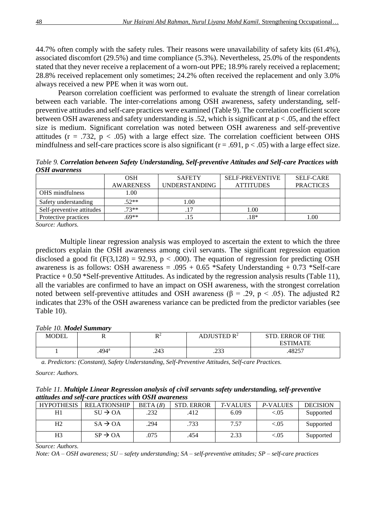44.7% often comply with the safety rules. Their reasons were unavailability of safety kits (61.4%), associated discomfort (29.5%) and time compliance (5.3%). Nevertheless, 25.0% of the respondents stated that they never receive a replacement of a worn-out PPE; 18.9% rarely received a replacement; 28.8% received replacement only sometimes; 24.2% often received the replacement and only 3.0% always received a new PPE when it was worn out.

Pearson correlation coefficient was performed to evaluate the strength of linear correlation between each variable. The inter-correlations among OSH awareness, safety understanding, selfpreventive attitudes and self-care practices were examined (Table 9). The correlation coefficient score between OSH awareness and safety understanding is .52, which is significant at p < .05, and the effect size is medium. Significant correlation was noted between OSH awareness and self-preventive attitudes ( $r = .732$ ,  $p < .05$ ) with a large effect size. The correlation coefficient between OHS mindfulness and self-care practices score is also significant ( $r = .691$ ,  $p < .05$ ) with a large effect size.

*Table 9. Correlation between Safety Understanding, Self-preventive Attitudes and Self-care Practices with OSH awareness*

|                           | <b>OSH</b>       | <b>SAFETY</b> | <b>SELF-PREVENTIVE</b> | <b>SELF-CARE</b> |
|---------------------------|------------------|---------------|------------------------|------------------|
|                           | <b>AWARENESS</b> | UNDERSTANDING | <b>ATTITUDES</b>       | <b>PRACTICES</b> |
| OHS mindfulness           | 1.00             |               |                        |                  |
| Safety understanding      | $.52**$          | 1.00          |                        |                  |
| Self-preventive attitudes | $.73**$          | .17           | 00.1                   |                  |
| Protective practices      | $69**$           |               | $18*$                  | 1.00             |
| $\alpha$ $\alpha$ $\beta$ |                  |               |                        |                  |

*Source: Authors.*

Multiple linear regression analysis was employed to ascertain the extent to which the three predictors explain the OSH awareness among civil servants. The significant regression equation disclosed a good fit  $(F(3,128) = 92.93, p < .000)$ . The equation of regression for predicting OSH awareness is as follows: OSH awareness =  $.095 + 0.65$  \*Safety Understanding + 0.73 \*Self-care Practice + 0.50 \*Self-preventive Attitudes. As indicated by the regression analysis results (Table 11), all the variables are confirmed to have an impact on OSH awareness, with the strongest correlation noted between self-preventive attitudes and OSH awareness (β = .29, p < .05). The adjusted R2 indicates that 23% of the OSH awareness variance can be predicted from the predictor variables (see Table 10).

## *Table 10. Model Summary*

| <b>MODEL</b> | Ŧ£    | R2<br>17 | ADJUSTED R <sup>2</sup> | <b>ERROR OF THE</b><br>STD. |
|--------------|-------|----------|-------------------------|-----------------------------|
|              |       |          |                         | <b>ESTIMATE</b>             |
|              | .494ª | .243     | ີ<br>ر ر_∠.             | .48257                      |

*a. Predictors: (Constant), Safety Understanding, Self-Preventive Attitudes, Self-care Practices.*

*Source: Authors.*

*Table 11. Multiple Linear Regression analysis of civil servants safety understanding, self-preventive attitudes and self-care practices with OSH awareness*

| <b>HYPOTHESIS</b> | <b>RELATIONSHIP</b>  | BETA(B) | <b>STD. ERROR</b> | <b>T-VALUES</b> | P-VALUES  | <b>DECISION</b> |
|-------------------|----------------------|---------|-------------------|-----------------|-----------|-----------------|
| H1                | $SIJ \rightarrow OA$ | .232    | .412              | 6.09            | ${<}05$   | Supported       |
| H <sub>2</sub>    | $SA \rightarrow OA$  | .294    | .733              | 7.57            | ${<}0.05$ | Supported       |
| H <sub>3</sub>    | $SP \rightarrow OA$  | .075    | .454              | 2.33            | ${<}0.05$ | Supported       |

*Source: Authors.*

*Note: OA – OSH awareness; SU – safety understanding; SA – self-preventive attitudes; SP – self-care practices*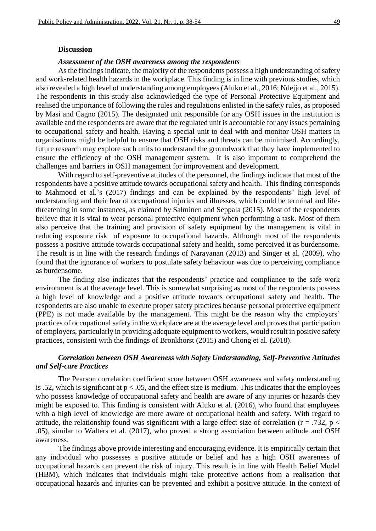#### **Discussion**

#### *Assessment of the OSH awareness among the respondents*

As the findings indicate, the majority of the respondents possess a high understanding of safety and work-related health hazards in the workplace. This finding is in line with previous studies, which also revealed a high level of understanding among employees (Aluko et al., 2016; Ndejjo et al., 2015). The respondents in this study also acknowledged the type of Personal Protective Equipment and realised the importance of following the rules and regulations enlisted in the safety rules, as proposed by Masi and Cagno (2015). The designated unit responsible for any OSH issues in the institution is available and the respondents are aware that the regulated unit is accountable for any issues pertaining to occupational safety and health. Having a special unit to deal with and monitor OSH matters in organisations might be helpful to ensure that OSH risks and threats can be minimised. Accordingly, future research may explore such units to understand the groundwork that they have implemented to ensure the efficiency of the OSH management system. It is also important to comprehend the challenges and barriers in OSH management for improvement and development.

With regard to self-preventive attitudes of the personnel, the findings indicate that most of the respondents have a positive attitude towards occupational safety and health. This finding corresponds to Mahmood et al.'s (2017) findings and can be explained by the respondents' high level of understanding and their fear of occupational injuries and illnesses, which could be terminal and lifethreatening in some instances, as claimed by Salminen and Seppala (2015). Most of the respondents believe that it is vital to wear personal protective equipment when performing a task. Most of them also perceive that the training and provision of safety equipment by the management is vital in reducing exposure risk of exposure to occupational hazards. Although most of the respondents possess a positive attitude towards occupational safety and health, some perceived it as burdensome. The result is in line with the research findings of Narayanan (2013) and Singer et al. (2009), who found that the ignorance of workers to postulate safety behaviour was due to perceiving compliance as burdensome.

The finding also indicates that the respondents' practice and compliance to the safe work environment is at the average level. This is somewhat surprising as most of the respondents possess a high level of knowledge and a positive attitude towards occupational safety and health. The respondents are also unable to execute proper safety practices because personal protective equipment (PPE) is not made available by the management. This might be the reason why the employers' practices of occupational safety in the workplace are at the average level and proves that participation of employers, particularly in providing adequate equipment to workers, would result in positive safety practices, consistent with the findings of Bronkhorst (2015) and Chong et al. (2018).

## *Correlation between OSH Awareness with Safety Understanding, Self-Preventive Attitudes and Self-care Practices*

The Pearson correlation coefficient score between OSH awareness and safety understanding is .52, which is significant at  $p < .05$ , and the effect size is medium. This indicates that the employees who possess knowledge of occupational safety and health are aware of any injuries or hazards they might be exposed to. This finding is consistent with Aluko et al. (2016), who found that employees with a high level of knowledge are more aware of occupational health and safety. With regard to attitude, the relationship found was significant with a large effect size of correlation ( $r = .732$ ,  $p <$ .05), similar to Walters et al. (2017), who proved a strong association between attitude and OSH awareness.

The findings above provide interesting and encouraging evidence. It is empirically certain that any individual who possesses a positive attitude or belief and has a high OSH awareness of occupational hazards can prevent the risk of injury. This result is in line with Health Belief Model (HBM), which indicates that individuals might take protective actions from a realisation that occupational hazards and injuries can be prevented and exhibit a positive attitude. In the context of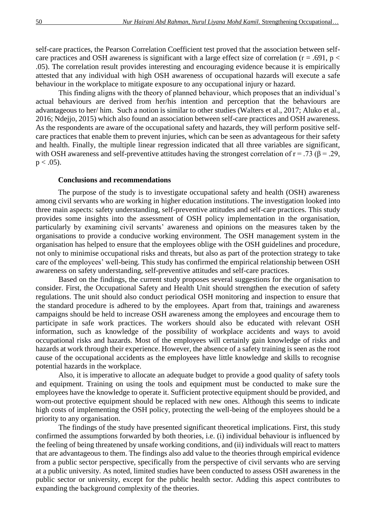self-care practices, the Pearson Correlation Coefficient test proved that the association between selfcare practices and OSH awareness is significant with a large effect size of correlation ( $r = .691$ ,  $p <$ .05). The correlation result provides interesting and encouraging evidence because it is empirically attested that any individual with high OSH awareness of occupational hazards will execute a safe behaviour in the workplace to mitigate exposure to any occupational injury or hazard.

This finding aligns with the theory of planned behaviour, which proposes that an individual's actual behaviours are derived from her/his intention and perception that the behaviours are advantageous to her/ him. Such a notion is similar to other studies (Walters et al., 2017; Aluko et al., 2016; Ndejjo, 2015) which also found an association between self-care practices and OSH awareness. As the respondents are aware of the occupational safety and hazards, they will perform positive selfcare practices that enable them to prevent injuries, which can be seen as advantageous for their safety and health. Finally, the multiple linear regression indicated that all three variables are significant, with OSH awareness and self-preventive attitudes having the strongest correlation of  $r = .73$  ( $\beta = .29$ ,  $p < .05$ ).

#### **Conclusions and recommendations**

The purpose of the study is to investigate occupational safety and health (OSH) awareness among civil servants who are working in higher education institutions. The investigation looked into three main aspects: safety understanding, self-preventive attitudes and self-care practices. This study provides some insights into the assessment of OSH policy implementation in the organisation, particularly by examining civil servants' awareness and opinions on the measures taken by the organisations to provide a conducive working environment. The OSH management system in the organisation has helped to ensure that the employees oblige with the OSH guidelines and procedure, not only to minimise occupational risks and threats, but also as part of the protection strategy to take care of the employees' well-being. This study has confirmed the empirical relationship between OSH awareness on safety understanding, self-preventive attitudes and self-care practices.

Based on the findings, the current study proposes several suggestions for the organisation to consider. First, the Occupational Safety and Health Unit should strengthen the execution of safety regulations. The unit should also conduct periodical OSH monitoring and inspection to ensure that the standard procedure is adhered to by the employees. Apart from that, trainings and awareness campaigns should be held to increase OSH awareness among the employees and encourage them to participate in safe work practices. The workers should also be educated with relevant OSH information, such as knowledge of the possibility of workplace accidents and ways to avoid occupational risks and hazards. Most of the employees will certainly gain knowledge of risks and hazards at work through their experience. However, the absence of a safety training is seen as the root cause of the occupational accidents as the employees have little knowledge and skills to recognise potential hazards in the workplace.

Also, it is imperative to allocate an adequate budget to provide a good quality of safety tools and equipment. Training on using the tools and equipment must be conducted to make sure the employees have the knowledge to operate it. Sufficient protective equipment should be provided, and worn-out protective equipment should be replaced with new ones. Although this seems to indicate high costs of implementing the OSH policy, protecting the well-being of the employees should be a priority to any organisation.

The findings of the study have presented significant theoretical implications. First, this study confirmed the assumptions forwarded by both theories, i.e. (i) individual behaviour is influenced by the feeling of being threatened by unsafe working conditions, and (ii) individuals will react to matters that are advantageous to them. The findings also add value to the theories through empirical evidence from a public sector perspective, specifically from the perspective of civil servants who are serving at a public university. As noted, limited studies have been conducted to assess OSH awareness in the public sector or university, except for the public health sector. Adding this aspect contributes to expanding the background complexity of the theories.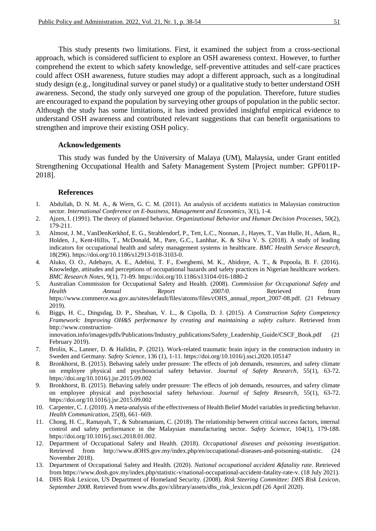This study presents two limitations. First, it examined the subject from a cross-sectional approach, which is considered sufficient to explore an OSH awareness context. However, to further comprehend the extent to which safety knowledge, self-preventive attitudes and self-care practices could affect OSH awareness, future studies may adopt a different approach, such as a longitudinal study design (e.g., longitudinal survey or panel study) or a qualitative study to better understand OSH awareness. Second, the study only surveyed one group of the population. Therefore, future studies are encouraged to expand the population by surveying other groups of population in the public sector. Although the study has some limitations, it has indeed provided insightful empirical evidence to understand OSH awareness and contributed relevant suggestions that can benefit organisations to strengthen and improve their existing OSH policy.

## **Acknowledgements**

This study was funded by the University of Malaya (UM), Malaysia, under Grant entitled Strengthening Occupational Health and Safety Management System [Project number: GPF011P-2018].

#### **References**

- 1. Abdullah, D. N. M. A., & Wern, G. C. M. (2011). An analysis of accidents statistics in Malaysian construction sector. *International Conference on E-business, Management and Economics*, 3(1), 1-4.
- 2. Ajzen, I. (1991). The theory of planned behavior. *Organizational Behavior and Human Decision Processes*, 50(2), 179-211.
- 3. Almost, J. M., VanDenKerkhof, E. G., Strahlendorf, P., Tett, L.C., Noonan, J., Hayes, T., Van Hulle, H., Adam, R., Holden, J., Kent-Hillis, T., McDonald, M., Pare, G.C., Lanhhar, K. & Silva V. S. (2018). A study of leading indicators for occupational health and safety management systems in healthcare. *BMC Health Service Research*, 18(296). https://doi.org/10.1186/s12913-018-3103-0.
- 4. Aluko, O. O., Adebayo, A. E., Adebisi, T. F., Ewegbemi, M. K., Abidoye, A. T., & Popoola, B. F. (2016). Knowledge, attitudes and perceptions of occupational hazards and safety practices in Nigerian healthcare workers. *BMC Research Notes*, 9(1), 71-89. https://doi.org/10.1186/s13104-016-1880-2
- 5. Australian Commission for Occupational Safety and Health. (2008). *Commission for Occupational Safety and Health Annual Report 2007/0*. Retrieved from https://www.commerce.wa.gov.au/sites/default/files/atoms/files/cOHS\_annual\_report\_2007-08.pdf. (21 February 2019).
- 6. Biggs, H. C., Dingsdag, D. P., Sheahan, V. L., & Cipolla, D. J. (2015). *A Construction Safety Competency Framework: Improving OH&S performance by creating and maintaining a safety culture*. Retrieved from http://www.constructioninnovation.info/images/pdfs/Publications/Industry\_publications/Safety\_Leadership\_Guide/CSCF\_Book.pdf (21 February 2019).
- 7. Brolin, K., Lanner, D. & Halldin, P. (2021). Work-related traumatic brain injury in the construction industry in Sweden and Germany. *Safety Science*, 136 (1), 1-11. https://doi.org/10.1016/j.ssci.2020.105147
- 8. Bronkhorst, B. (2015). Behaving safely under pressure: The effects of job demands, resources, and safety climate on employee physical and psychosocial safety behavior. *Journal of Safety Research*, 55(1), 63-72. https://doi.org/10.1016/j.jsr.2015.09.002
- 9. Bronkhorst, B. (2015). Behaving safely under pressure: The effects of job demands, resources, and safety climate on employee physical and psychosocial safety behaviour. *Journal of Safety Research*, 55(1), 63-72. https://doi.org/10.1016/j.jsr.2015.09.002
- 10. Carpenter, C. J. (2010). A meta-analysis of the effectiveness of Health Belief Model variables in predicting behavior. *Health Communication*, 25(8), 661–669.
- 11. Chong, H. C., Ramayah, T., & Subramaniam, C. (2018). The relationship between critical success factors, internal control and safety performance in the Malaysian manufacturing sector. *Safety Science*, 104(1), 179-188. https://doi.org/10.1016/j.ssci.2018.01.002.
- 12. Department of Occupational Safety and Health. (2018). *Occupational diseases and poisoning investigation*. Retrieved from http://www.dOHS.gov.my/index.php/en/occupational-diseases-and-poisoning-statistic. November 2018).
- 13. Department of Occupational Safety and Health. (2020). *National occupational accident &fatality rate*. Retrieved from https://www.dosh.gov.my/index.php/statistic-v/national-occupational-accident-fatality-rate-v. (18 July 2021).
- 14. DHS Risk Lexicon, US Department of Homeland Security. (2008). *Risk Steering Committee: DHS Risk Lexicon, September 2008*. Retrieved from www.dhs.gov/xlibrary/assets/dhs\_risk\_lexicon.pdf (26 April 2020).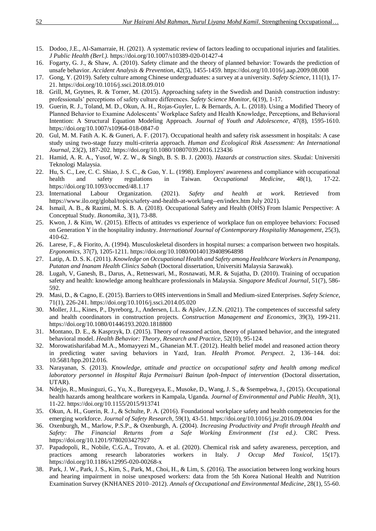- 15. Dodoo, J.E., Al-Samarraie, H. (2021). A systematic review of factors leading to occupational injuries and fatalities*. J Public Health (Berl.).* https://doi.org/10.1007/s10389-020-01427-4
- 16. Fogarty, G. J., & Shaw, A. (2010). Safety climate and the theory of planned behavior: Towards the prediction of unsafe behavior. *Accident Analysis & Prevention*, 42(5), 1455-1459. https://doi.org/10.1016/j.aap.2009.08.008
- 17. Gong, Y. (2019). Safety culture among Chinese undergraduates: a survey at a university. *Safety Science*, 111(1), 17- 21. https://doi.org/10.1016/j.ssci.2018.09.010
- 18. Grill, M, Grytnes, R. & Torner, M. (2015). Approaching safety in the Swedish and Danish construction industry: professionals' perceptions of safety culture differences. *Safety Science Monitor*, 6(19), 1-17.
- 19. Guerin, R. J., Toland, M. D., Okun, A. H., Rojas-Guyler, L. & Bernards, A. L. (2018). Using a Modified Theory of Planned Behavior to Examine Adolescents' Workplace Safety and Health Knowledge, Perceptions, and Behavioral Intention: A Structural Equation Modeling Approach. *Journal of Youth and Adolescence*, 47(8), 1595-1610. https://doi.org/10.1007/s10964-018-0847-0
- 20. Gul, M. M. Fatih A. K. & Guneri, A. F. (2017). Occupational health and safety risk assessment in hospitals: A case study using two-stage fuzzy multi-criteria approach. *Human and Ecological Risk Assessment: An International Journal*, 23(2), 187-202. https://doi.org/10.1080/10807039.2016.123436
- 21. Hamid, A. R. A., Yusof, W. Z. W., & Singh, B. S. B. J. (2003). *Hazards at construction sites*. Skudai: Universiti Teknologi Malaysia.
- 22. Hu, S. C., Lee, C. C. Shiao, J. S. C., & Guo, Y. L. (1998). Employers' awareness and compliance with occupational health and safety regulations in Taiwan. *Occupational Medicine*, 48(1), 17-22. https://doi.org/10.1093/occmed/48.1.17
- 23. International Labour Organization. (2021). *Safety and health at work*. Retrieved from https://www.ilo.org/global/topics/safety-and-health-at-work/lang--en/index.htm July 2021).
- 24. Ismail, A. B., & Razimi, M. S. B. A. (2018). Occupational Safety and Health (OHS) From Islamic Perspective: A Conceptual Study. *Ikonomika*, 3(1), 73-88.
- 25. Kwon, J. & Kim, W. (2015). Effects of attitudes vs experience of workplace fun on employee behaviors: Focused on Generation Y in the hospitality industry. *International Journal of Contemporary Hospitality Management*, 25(3), 410-62.
- 26. Larese, F., & Fiorito, A. (1994). Musculoskeletal disorders in hospital nurses: a comparison between two hospitals. *Ergonomics*, 37(7), 1205-1211. https://doi.org/10.1080/00140139408964898
- 27. Latip, A. D. S. K. (2011). *Knowledge on Occupational Health and Safety among Healthcare Workers in Penampang, Putatan and Inanam Health Clinics Sabah* (Doctoral dissertation, Universiti Malaysia Sarawak).
- 28. Lugah, V, Ganesh, B., Darus, A., Retneswari, M., Rosnawati, M.R. & Sujatha, D. (2010). Training of occupation safety and health: knowledge among healthcare professionals in Malaysia. *Singapore Medical Journal*, 51(7), 586- 592.
- 29. Masi, D., & Cagno, E. (2015). Barriers to OHS interventions in Small and Medium-sized Enterprises. *Safety Science*, 71(1), 226-241. https://doi.org/10.1016/j.ssci.2014.05.020
- 30. Moller, J.L., Kines, P., Dyreborg, J., Andersen, L.L. & Ajslev, J.Z.N. (2021). The competences of successful safety and health coordinators in construction projects. *Construction Management and Economics*, 39(3), 199-211. https://doi.org/10.1080/01446193.2020.1818800
- 31. Montano, D. E., & Kasprzyk, D. (2015). Theory of reasoned action, theory of planned behavior, and the integrated behavioral model. *Health Behavior: Theory, Research and Practice*, 52(10), 95-124.
- 32. Morowatisharifabad M.A., Momayyezi M., Ghaneian M.T. (2012). Health belief model and reasoned action theory in predicting water saving behaviors in Yazd, Iran. *Health Promot. Perspect*. 2, 136–144. doi: 10.5681/hpp.2012.016.
- 33. Narayanan, S. (2013). *Knowledge, attitude and practice on occupational safety and health among medical laboratory personnel in Hospital Raja Permaisuri Bainun Ipoh-Impact of intervention* (Doctoral dissertation, UTAR).
- 34. Ndejjo, R., Musinguzi, G., Yu, X., Buregyeya, E., Musoke, D., Wang, J. S., & Ssempebwa, J., (2015). Occupational health hazards among healthcare workers in Kampala, Uganda. *Journal of Environmental and Public Health*, 3(1), 11-22. https://doi.org/10.1155/2015/913741
- 35. Okun, A. H., Guerin, R. J., & Schulte, P. A. (2016). Foundational workplace safety and health competencies for the emerging workforce. *Journal of Safety Research*, 59(1), 43-51. https://doi.org/10.1016/j.jsr.2016.09.004
- 36. Oxenburgh, M., Marlow, P.S.P., & Oxenburgh, A. (2004). *Increasing Productivity and Profit through Health and Safety: The Financial Returns from a Safe Working Environment (1st ed.)*. CRC Press. https://doi.org/10.1201/9780203427927
- 37. Papadopoli, R., Nobile, C.G.A., Trovato, A. et al. (2020). Chemical risk and safety awareness, perception, and practices among research laboratories workers in Italy. *J Occup Med Toxicol*, 15(17). https://doi.org/10.1186/s12995-020-00268-x
- 38. Park, J. W., Park, J. S., Kim, S., Park, M., Choi, H., & Lim, S. (2016). The association between long working hours and hearing impairment in noise unexposed workers: data from the 5th Korea National Health and Nutrition Examination Survey (KNHANES 2010–2012). *Annals of Occupational and Environmental Medicine*, 28(1), 55-60.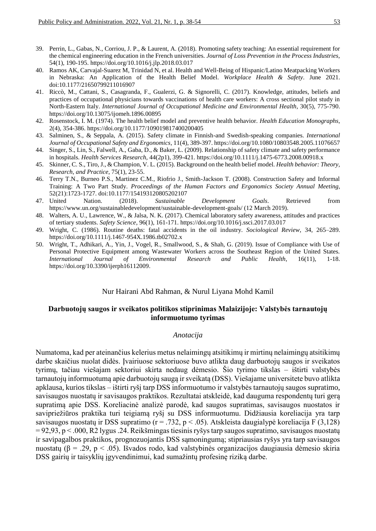- 39. Perrin, L., Gabas, N., Corriou, J. P., & Laurent, A. (2018). Promoting safety teaching: An essential requirement for the chemical engineering education in the French universities. *Journal of Loss Prevention in the Process Industries*, 54(1), 190-195. https://doi.org/10.1016/j.jlp.2018.03.017
- 40. Ramos AK, Carvajal-Suarez M, Trinidad N, et al. Health and Well-Being of Hispanic/Latino Meatpacking Workers in Nebraska: An Application of the Health Belief Model. *Workplace Health & Safety*. June 2021. doi:10.1177/21650799211016907
- 41. Riccò, M., Cattani, S., Casagranda, F., Gualerzi, G. & Signorelli, C. (2017). Knowledge, attitudes, beliefs and practices of occupational physicians towards vaccinations of health care workers: A cross sectional pilot study in North-Eastern Italy. *International Journal of Occupational Medicine and Environmental Health*, 30(5), 775-790. https://doi.org/10.13075/ijomeh.1896.00895
- 42. Rosenstock, I. M. (1974). The health belief model and preventive health behavior. *Health Education Monographs*, 2(4), 354-386. https://doi.org/10.1177/109019817400200405
- 43. Salminen, S., & Seppala, A. (2015). Safety climate in Finnish-and Swedish-speaking companies. *International Journal of Occupational Safety and Ergonomics*, 11(4), 389-397. https://doi.org/10.1080/10803548.2005.11076657
- 44. Singer, S., Lin, S., Falwell, A., Gaba, D., & Baker, L. (2009). Relationship of safety climate and safety performance in hospitals. *Health Services Research*, 44(2p1), 399-421. https://doi.org/10.1111/j.1475-6773.2008.00918.x
- 45. Skinner, C. S., Tiro, J., & Champion, V. L. (2015). Background on the health belief model. *Health behavior: Theory, Research, and Practice*, 75(1), 23-55.
- 46. Terry T.N., Burneo P.S., Martinez C.M., Riofrio J., Smith-Jackson T. (2008). Construction Safety and Informal Training: A Two Part Study. *Proceedings of the Human Factors and Ergonomics Society Annual Meeting*, 52(21):1723-1727. doi:10.1177/154193120805202107
- 47. United Nation. (2018). *Sustainable Development Goals*. Retrieved from https://www.un.org/sustainabledevelopment/sustainable-development-goals/ (12 March 2019).
- 48. Walters, A. U., Lawrence, W., & Jalsa, N. K. (2017). Chemical laboratory safety awareness, attitudes and practices of tertiary students. *Safety Science*, 96(1), 161-171. https://doi.org/10.1016/j.ssci.2017.03.017
- 49. Wright, C. (1986). Routine deaths: fatal accidents in the oil industry. *Sociological Review*, 34, 265–289. https://doi.org/10.1111/j.1467-954X.1986.tb02702.x
- 50. Wright, T., Adhikari, A., Yin, J., Vogel, R., Smallwood, S., & Shah, G. (2019). Issue of Compliance with Use of Personal Protective Equipment among Wastewater Workers across the Southeast Region of the United States. *International Journal of Environmental Research and Public Health*, 16(11), 1-18. https://doi.org/10.3390/ijerph16112009.

#### Nur Hairani Abd Rahman, & Nurul Liyana Mohd Kamil

## **Darbuotojų saugos ir sveikatos politikos stiprinimas Malaizijoje: Valstybės tarnautojų informuotumo tyrimas**

## *Anotacija*

Numatoma, kad per ateinančius kelerius metus nelaimingų atsitikimų ir mirtinų nelaimingų atsitikimų darbe skaičius nuolat didės. Įvairiuose sektoriuose buvo atlikta daug darbuotojų saugos ir sveikatos tyrimų, tačiau viešajam sektoriui skirta nedaug dėmesio. Šio tyrimo tikslas – ištirti valstybės tarnautojų informuotumą apie darbuotojų saugą ir sveikatą (DSS). Viešajame universitete buvo atlikta apklausa, kurios tikslas – ištirti ryšį tarp DSS informuotumo ir valstybės tarnautojų saugos supratimo, savisaugos nuostatų ir savisaugos praktikos. Rezultatai atskleidė, kad dauguma respondentų turi gerą supratimą apie DSS. Koreliacinė analizė parodė, kad saugos supratimas, savisaugos nuostatos ir savipriežiūros praktika turi teigiamą ryšį su DSS informuotumu. Didžiausia koreliacija yra tarp savisaugos nuostatų ir DSS supratimo ( $r = .732$ ,  $p < .05$ ). Atskleista daugialypė koreliacija F (3,128)  $= 92,93$ , p  $\leq 0.000$ , R2 lygus .24. Reikšmingas tiesinis ryšys tarp saugos supratimo, savisaugos nuostatų ir savipagalbos praktikos, prognozuojantis DSS sąmoningumą; stipriausias ryšys yra tarp savisaugos nuostatų (β = .29, p < .05). Išvados rodo, kad valstybinės organizacijos daugiausia dėmesio skiria DSS gairių ir taisyklių įgyvendinimui, kad sumažintų profesinę riziką darbe.